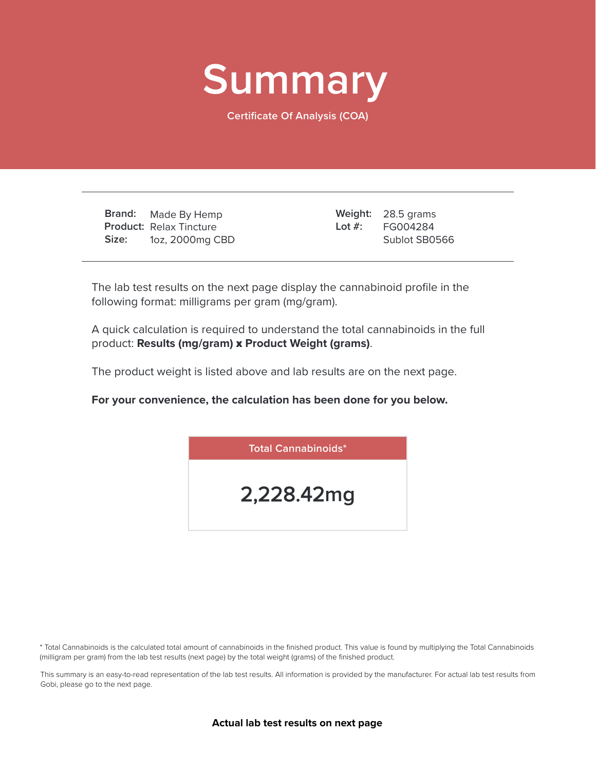

**Certificate Of Analysis (COA)**

**Brand: Product:** Relax Tincture **Size:** Made By Hemp 1oz, 2000mg CBD

28.5 grams **Weight:** FG004284 Sublot SB0566 **Lot #:**

The lab test results on the next page display the cannabinoid profile in the following format: milligrams per gram (mg/gram).

A quick calculation is required to understand the total cannabinoids in the full product: **Results (mg/gram)** x **Product Weight (grams)**.

The product weight is listed above and lab results are on the next page.

**For your convenience, the calculation has been done for you below.**



\* Total Cannabinoids is the calculated total amount of cannabinoids in the finished product. This value is found by multiplying the Total Cannabinoids (milligram per gram) from the lab test results (next page) by the total weight (grams) of the finished product.

This summary is an easy-to-read representation of the lab test results. All information is provided by the manufacturer. For actual lab test results from Gobi, please go to the next page.